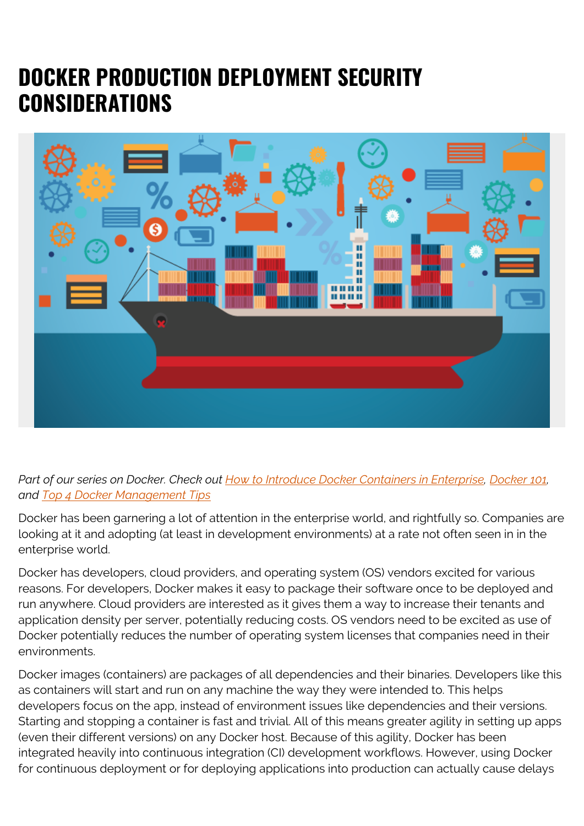# **DOCKER PRODUCTION DEPLOYMENT SECURITY CONSIDERATIONS**



## *Part of our series on Docker. Check out [How to Introduce Docker Containers in Enterprise,](https://blogs.bmc.com/blogs/3-steps-to-introduce-docker-containers-in-enterprise/) [Docker 101,](https://blogs.bmc.com/blogs/docker-101-introduction/) and [Top 4 Docker Management Tips](https://blogs.bmc.com/blogs/got-docker-4-docker-management-tips/)*

Docker has been garnering a lot of attention in the enterprise world, and rightfully so. Companies are looking at it and adopting (at least in development environments) at a rate not often seen in in the enterprise world.

Docker has developers, cloud providers, and operating system (OS) vendors excited for various reasons. For developers, Docker makes it easy to package their software once to be deployed and run anywhere. Cloud providers are interested as it gives them a way to increase their tenants and application density per server, potentially reducing costs. OS vendors need to be excited as use of Docker potentially reduces the number of operating system licenses that companies need in their environments.

Docker images (containers) are packages of all dependencies and their binaries. Developers like this as containers will start and run on any machine the way they were intended to. This helps developers focus on the app, instead of environment issues like dependencies and their versions. Starting and stopping a container is fast and trivial. All of this means greater agility in setting up apps (even their different versions) on any Docker host. Because of this agility, Docker has been integrated heavily into continuous integration (CI) development workflows. However, using Docker for continuous deployment or for deploying applications into production can actually cause delays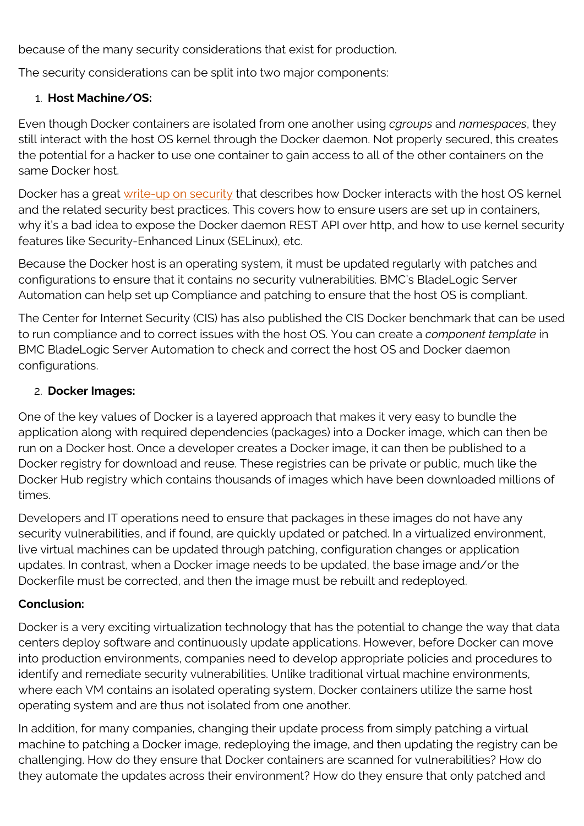because of the many security considerations that exist for production.

The security considerations can be split into two major components:

#### 1. **Host Machine/OS:**

Even though Docker containers are isolated from one another using *cgroups* and *namespaces*, they still interact with the host OS kernel through the Docker daemon. Not properly secured, this creates the potential for a hacker to use one container to gain access to all of the other containers on the same Docker host.

Docker has a great [write-up on security](https://docs.docker.com/engine/security/security/) that describes how Docker interacts with the host OS kernel and the related security best practices. This covers how to ensure users are set up in containers, why it's a bad idea to expose the Docker daemon REST API over http, and how to use kernel security features like Security-Enhanced Linux (SELinux), etc.

Because the Docker host is an operating system, it must be updated regularly with patches and configurations to ensure that it contains no security vulnerabilities. BMC's BladeLogic Server Automation can help set up Compliance and patching to ensure that the host OS is compliant.

The Center for Internet Security (CIS) has also published the CIS Docker benchmark that can be used to run compliance and to correct issues with the host OS. You can create a *component template* in BMC BladeLogic Server Automation to check and correct the host OS and Docker daemon configurations.

#### 2. **Docker Images:**

One of the key values of Docker is a layered approach that makes it very easy to bundle the application along with required dependencies (packages) into a Docker image, which can then be run on a Docker host. Once a developer creates a Docker image, it can then be published to a Docker registry for download and reuse. These registries can be private or public, much like the Docker Hub registry which contains thousands of images which have been downloaded millions of times.

Developers and IT operations need to ensure that packages in these images do not have any security vulnerabilities, and if found, are quickly updated or patched. In a virtualized environment, live virtual machines can be updated through patching, configuration changes or application updates. In contrast, when a Docker image needs to be updated, the base image and/or the Dockerfile must be corrected, and then the image must be rebuilt and redeployed.

### **Conclusion:**

Docker is a very exciting virtualization technology that has the potential to change the way that data centers deploy software and continuously update applications. However, before Docker can move into production environments, companies need to develop appropriate policies and procedures to identify and remediate security vulnerabilities. Unlike traditional virtual machine environments, where each VM contains an isolated operating system, Docker containers utilize the same host operating system and are thus not isolated from one another.

In addition, for many companies, changing their update process from simply patching a virtual machine to patching a Docker image, redeploying the image, and then updating the registry can be challenging. How do they ensure that Docker containers are scanned for vulnerabilities? How do they automate the updates across their environment? How do they ensure that only patched and